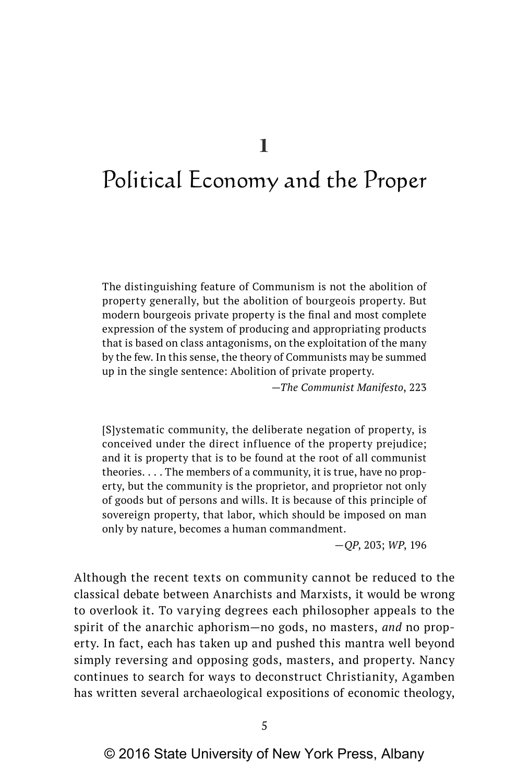## Political Economy and the Proper

The distinguishing feature of Communism is not the abolition of property generally, but the abolition of bourgeois property. But modern bourgeois private property is the final and most complete expression of the system of producing and appropriating products that is based on class antagonisms, on the exploitation of the many by the few. In this sense, the theory of Communists may be summed up in the single sentence: Abolition of private property.

—*The Communist Manifesto*, 223

[S]ystematic community, the deliberate negation of property, is conceived under the direct influence of the property prejudice; and it is property that is to be found at the root of all communist theories. . . . The members of a community, it is true, have no property, but the community is the proprietor, and proprietor not only of goods but of persons and wills. It is because of this principle of sovereign property, that labor, which should be imposed on man only by nature, becomes a human commandment.

—*QP*, 203; *WP*, 196

Although the recent texts on community cannot be reduced to the classical debate between Anarchists and Marxists, it would be wrong to overlook it. To varying degrees each philosopher appeals to the spirit of the anarchic aphorism—no gods, no masters, *and* no property. In fact, each has taken up and pushed this mantra well beyond simply reversing and opposing gods, masters, and property. Nancy continues to search for ways to deconstruct Christianity, Agamben has written several archaeological expositions of economic theology,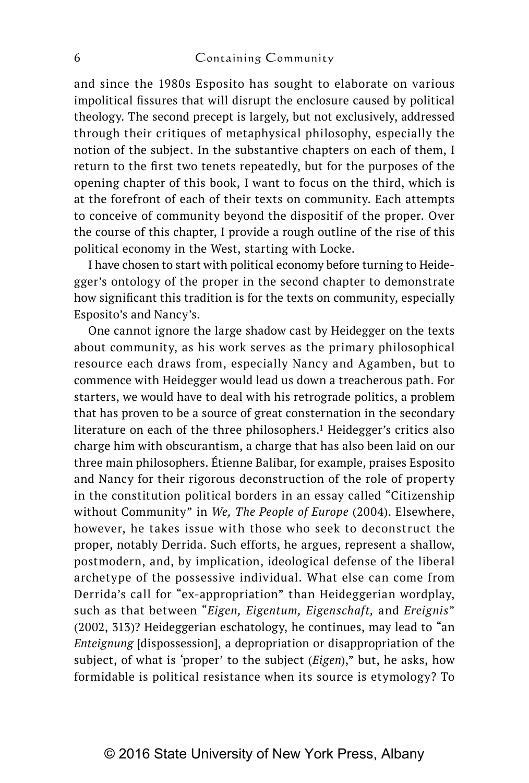and since the 1980s Esposito has sought to elaborate on various impolitical fissures that will disrupt the enclosure caused by political theology. The second precept is largely, but not exclusively, addressed through their critiques of metaphysical philosophy, especially the notion of the subject. In the substantive chapters on each of them, I return to the first two tenets repeatedly, but for the purposes of the opening chapter of this book, I want to focus on the third, which is at the forefront of each of their texts on community. Each attempts to conceive of community beyond the dispositif of the proper. Over the course of this chapter, I provide a rough outline of the rise of this political economy in the West, starting with Locke.

I have chosen to start with political economy before turning to Heidegger's ontology of the proper in the second chapter to demonstrate how significant this tradition is for the texts on community, especially Esposito's and Nancy's.

One cannot ignore the large shadow cast by Heidegger on the texts about community, as his work serves as the primary philosophical resource each draws from, especially Nancy and Agamben, but to commence with Heidegger would lead us down a treacherous path. For starters, we would have to deal with his retrograde politics, a problem that has proven to be a source of great consternation in the secondary literature on each of the three philosophers.<sup>1</sup> Heidegger's critics also charge him with obscurantism, a charge that has also been laid on our three main philosophers. Étienne Balibar, for example, praises Esposito and Nancy for their rigorous deconstruction of the role of property in the constitution political borders in an essay called "Citizenship without Community" in We, The People of Europe (2004). Elsewhere, however, he takes issue with those who seek to deconstruct the proper, notably Derrida. Such efforts, he argues, represent a shallow, postmodern, and, by implication, ideological defense of the liberal archetype of the possessive individual. What else can come from Derrida's call for "ex-appropriation" than Heideggerian wordplay, such as that between "*Eigen, Eigentum, Eigenschaft,* and *Ereignis*"  $(2002, 313)$ ? Heideggerian eschatology, he continues, may lead to "an *Enteignung* [dispossession], a depropriation or disappropriation of the subject, of what is 'proper' to the subject (*Eigen*)," but, he asks, how formidable is political resistance when its source is etymology? To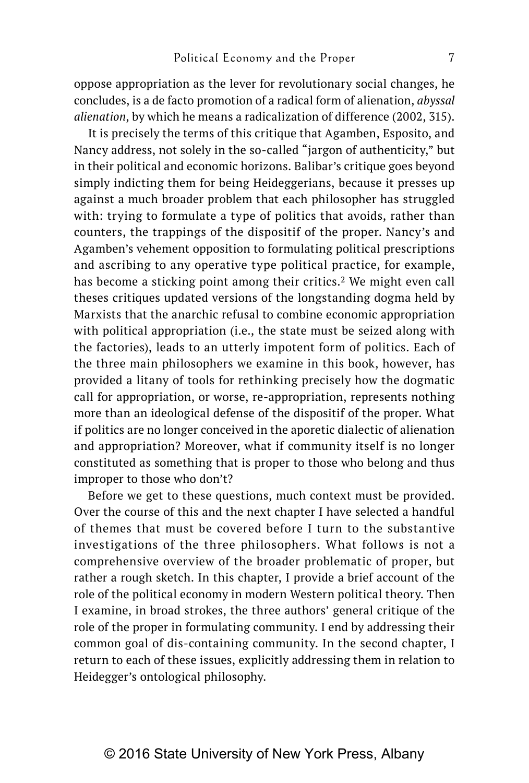oppose appropriation as the lever for revolutionary social changes, he concludes, is a de facto promotion of a radical form of alienation, *abyssal alienation*, by which he means a radicalization of difference (2002, 315).

It is precisely the terms of this critique that Agamben, Esposito, and Nancy address, not solely in the so-called "jargon of authenticity," but in their political and economic horizons. Balibar's critique goes beyond simply indicting them for being Heideggerians, because it presses up against a much broader problem that each philosopher has struggled with: trying to formulate a type of politics that avoids, rather than counters, the trappings of the dispositif of the proper. Nancy's and Agamben's vehement opposition to formulating political prescriptions and ascribing to any operative type political practice, for example, has become a sticking point among their critics.<sup>2</sup> We might even call theses critiques updated versions of the longstanding dogma held by Marxists that the anarchic refusal to combine economic appropriation with political appropriation (i.e., the state must be seized along with the factories), leads to an utterly impotent form of politics. Each of the three main philosophers we examine in this book, however, has provided a litany of tools for rethinking precisely how the dogmatic call for appropriation, or worse, re-appropriation, represents nothing more than an ideological defense of the dispositif of the proper. What if politics are no longer conceived in the aporetic dialectic of alienation and appropriation? Moreover, what if community itself is no longer constituted as something that is proper to those who belong and thus improper to those who don't?

Before we get to these questions, much context must be provided. Over the course of this and the next chapter I have selected a handful of themes that must be covered before I turn to the substantive investigations of the three philosophers. What follows is not a comprehensive overview of the broader problematic of proper, but rather a rough sketch. In this chapter, I provide a brief account of the role of the political economy in modern Western political theory. Then I examine, in broad strokes, the three authors' general critique of the role of the proper in formulating community. I end by addressing their common goal of dis-containing community. In the second chapter, I return to each of these issues, explicitly addressing them in relation to Heidegger's ontological philosophy.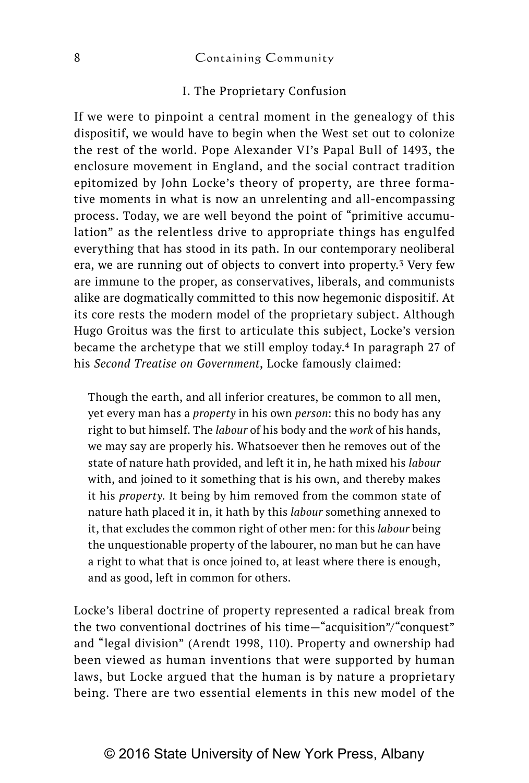## 8 Containing Community

## I. The Proprietary Confusion

If we were to pinpoint a central moment in the genealogy of this dispositif, we would have to begin when the West set out to colonize the rest of the world. Pope Alexander VI's Papal Bull of 1493, the enclosure movement in England, and the social contract tradition epitomized by John Locke's theory of property, are three formative moments in what is now an unrelenting and all-encompassing process. Today, we are well beyond the point of "primitive accumulation" as the relentless drive to appropriate things has engulfed everything that has stood in its path. In our contemporary neoliberal era, we are running out of objects to convert into property.3 Very few are immune to the proper, as conservatives, liberals, and communists alike are dogmatically committed to this now hegemonic dispositif. At its core rests the modern model of the proprietary subject. Although Hugo Groitus was the first to articulate this subject, Locke's version became the archetype that we still employ today.4 In paragraph 27 of his *Second Treatise on Government*, Locke famously claimed:

Though the earth, and all inferior creatures, be common to all men, yet every man has a *property* in his own *person*: this no body has any right to but himself. The *labour* of his body and the *work* of his hands, we may say are properly his. Whatsoever then he removes out of the state of nature hath provided, and left it in, he hath mixed his *labour* with, and joined to it something that is his own, and thereby makes it his *property*. It being by him removed from the common state of nature hath placed it in, it hath by this *labour* something annexed to it, that excludes the common right of other men: for this *labour* being the unquestionable property of the labourer, no man but he can have a right to what that is once joined to, at least where there is enough, and as good, left in common for others.

Locke's liberal doctrine of property represented a radical break from the two conventional doctrines of his time—"acquisition"/"conquest" and "legal division" (Arendt 1998, 110). Property and ownership had been viewed as human inventions that were supported by human laws, but Locke argued that the human is by nature a proprietary being. There are two essential elements in this new model of the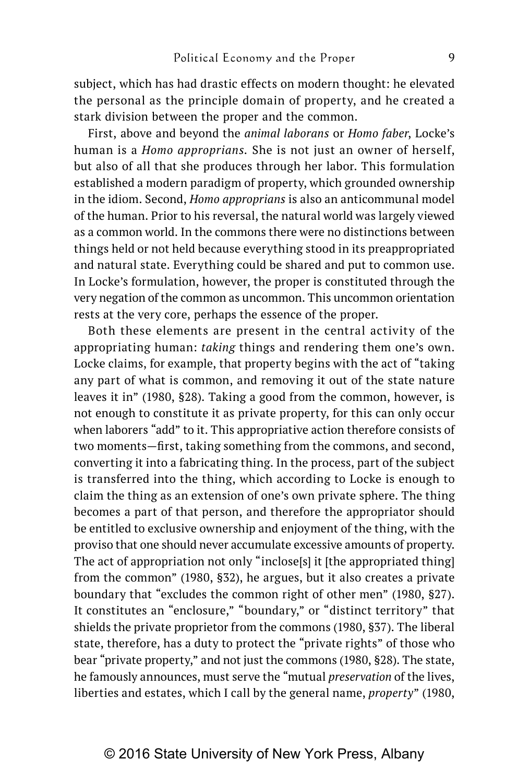subject, which has had drastic effects on modern thought: he elevated the personal as the principle domain of property, and he created a stark division between the proper and the common.

First, above and beyond the *animal laborans* or *Homo faber*, Locke's human is a *Homo approprians.* She is not just an owner of herself, but also of all that she produces through her labor. This formulation established a modern paradigm of property, which grounded ownership in the idiom. Second, *Homo approprians* is also an anticommunal model of the human. Prior to his reversal, the natural world was largely viewed as a common world. In the commons there were no distinctions between things held or not held because everything stood in its preappropriated and natural state. Everything could be shared and put to common use. In Locke's formulation, however, the proper is constituted through the very negation of the common as uncommon. This uncommon orientation rests at the very core, perhaps the essence of the proper.

Both these elements are present in the central activity of the appropriating human: *taking* things and rendering them one's own. Locke claims, for example, that property begins with the act of "taking any part of what is common, and removing it out of the state nature leaves it in" (1980, §28). Taking a good from the common, however, is not enough to constitute it as private property, for this can only occur when laborers "add" to it. This appropriative action therefore consists of two moments—first, taking something from the commons, and second, converting it into a fabricating thing. In the process, part of the subject is transferred into the thing, which according to Locke is enough to claim the thing as an extension of one's own private sphere. The thing becomes a part of that person, and therefore the appropriator should be entitled to exclusive ownership and enjoyment of the thing, with the proviso that one should never accumulate excessive amounts of property. The act of appropriation not only "inclose[s] it [the appropriated thing] from the common" (1980,  $\S$ 32), he argues, but it also creates a private boundary that "excludes the common right of other men" (1980, §27). It constitutes an "enclosure," "boundary," or "distinct territory" that shields the private proprietor from the commons (1980, §37). The liberal state, therefore, has a duty to protect the "private rights" of those who bear "private property," and not just the commons (1980, §28). The state, he famously announces, must serve the "mutual *preservation* of the lives, liberties and estates, which I call by the general name, *property*" (1980,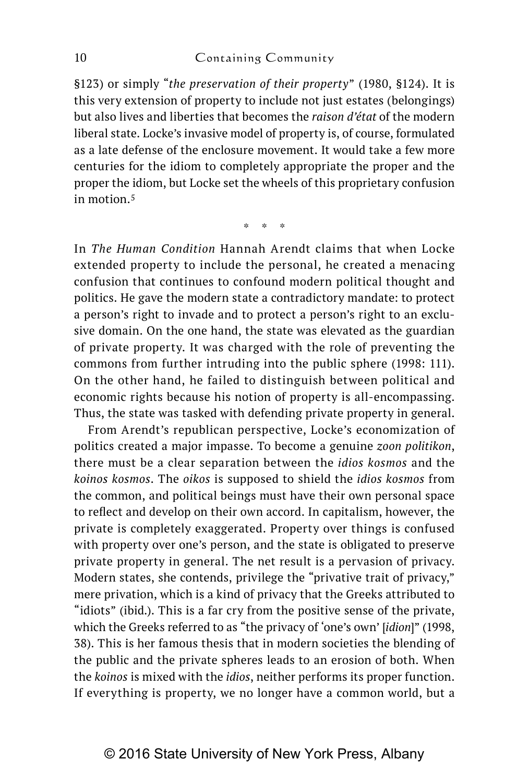§123) or simply "the preservation of their property" (1980, §124). It is this very extension of property to include not just estates (belongings) but also lives and liberties that becomes the *raison d'état* of the modern liberal state. Locke's invasive model of property is, of course, formulated as a late defense of the enclosure movement. It would take a few more centuries for the idiom to completely appropriate the proper and the proper the idiom, but Locke set the wheels of this proprietary confusion in motion.5

\* \* \*

In *The Human Condition* Hannah Arendt claims that when Locke extended property to include the personal, he created a menacing confusion that continues to confound modern political thought and politics. He gave the modern state a contradictory mandate: to protect a person's right to invade and to protect a person's right to an exclusive domain. On the one hand, the state was elevated as the guardian of private property. It was charged with the role of preventing the commons from further intruding into the public sphere (1998: 111). On the other hand, he failed to distinguish between political and economic rights because his notion of property is all-encompassing. Thus, the state was tasked with defending private property in general.

From Arendt's republican perspective, Locke's economization of politics created a major impasse. To become a genuine *zoon politikon*, there must be a clear separation between the *idios kosmos* and the *koinos kosmos*. The *oikos* is supposed to shield the *idios kosmos* from the common, and political beings must have their own personal space to reflect and develop on their own accord. In capitalism, however, the private is completely exaggerated. Property over things is confused with property over one's person, and the state is obligated to preserve private property in general. The net result is a pervasion of privacy. Modern states, she contends, privilege the "privative trait of privacy," mere privation, which is a kind of privacy that the Greeks attributed to "idiots" (ibid.). This is a far cry from the positive sense of the private, which the Greeks referred to as "the privacy of 'one's own' [*idion*]" (1998, 38). This is her famous thesis that in modern societies the blending of the public and the private spheres leads to an erosion of both. When the *koinos* is mixed with the *idios*, neither performs its proper function. If everything is property, we no longer have a common world, but a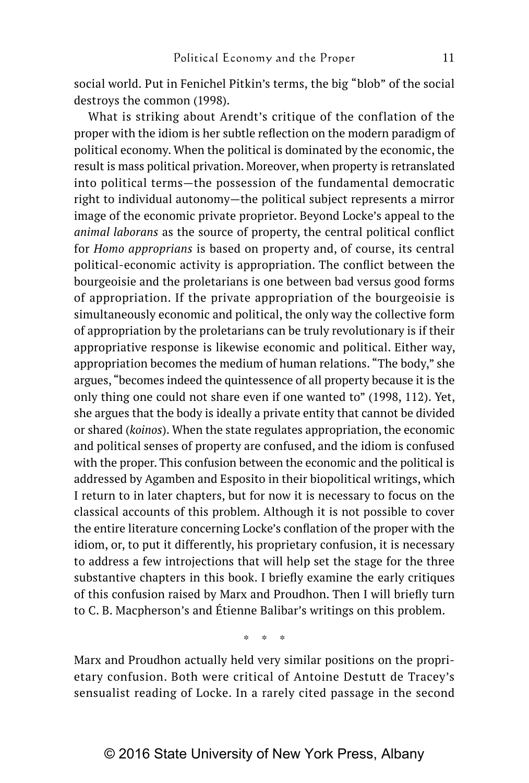social world. Put in Fenichel Pitkin's terms, the big "blob" of the social destroys the common (1998).

What is striking about Arendt's critique of the conflation of the proper with the idiom is her subtle reflection on the modern paradigm of political economy. When the political is dominated by the economic, the result is mass political privation. Moreover, when property is retranslated into political terms—the possession of the fundamental democratic right to individual autonomy—the political subject represents a mirror image of the economic private proprietor. Beyond Locke's appeal to the *animal laborans* as the source of property, the central political conflict for *Homo approprians* is based on property and, of course, its central political-economic activity is appropriation. The conflict between the bourgeoisie and the proletarians is one between bad versus good forms of appropriation. If the private appropriation of the bourgeoisie is simultaneously economic and political, the only way the collective form of appropriation by the proletarians can be truly revolutionary is if their appropriative response is likewise economic and political. Either way, appropriation becomes the medium of human relations. "The body," she argues, "becomes indeed the quintessence of all property because it is the only thing one could not share even if one wanted to"  $(1998, 112)$ . Yet, she argues that the body is ideally a private entity that cannot be divided or shared (koinos). When the state regulates appropriation, the economic and political senses of property are confused, and the idiom is confused with the proper. This confusion between the economic and the political is addressed by Agamben and Esposito in their biopolitical writings, which I return to in later chapters, but for now it is necessary to focus on the classical accounts of this problem. Although it is not possible to cover the entire literature concerning Locke's conflation of the proper with the idiom, or, to put it differently, his proprietary confusion, it is necessary to address a few introjections that will help set the stage for the three substantive chapters in this book. I briefly examine the early critiques of this confusion raised by Marx and Proudhon. Then I will briefly turn to C. B. Macpherson's and Étienne Balibar's writings on this problem.

 $\mathbf{r}$ 

Marx and Proudhon actually held very similar positions on the proprietary confusion. Both were critical of Antoine Destutt de Tracey's sensualist reading of Locke. In a rarely cited passage in the second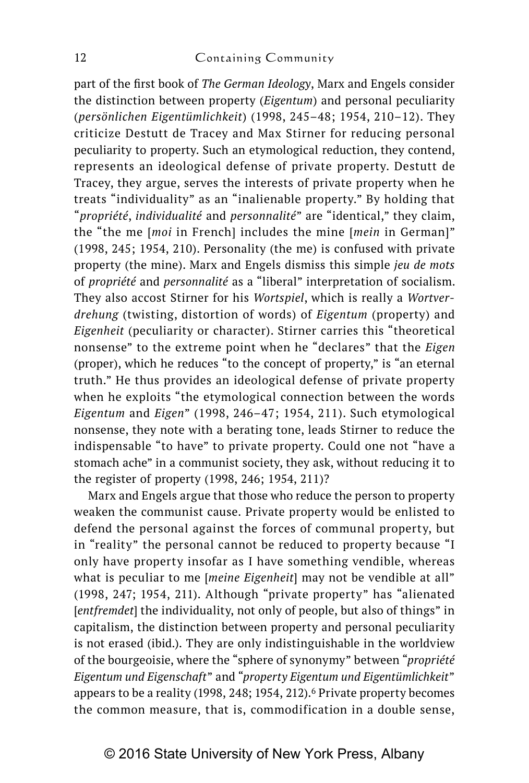part of the first book of The German Ideology, Marx and Engels consider the distinction between property (*Eigentum*) and personal peculiarity (persönlichen Eigentümlichkeit) (1998, 245-48; 1954, 210-12). They criticize Destutt de Tracey and Max Stirner for reducing personal peculiarity to property. Such an etymological reduction, they contend, represents an ideological defense of private property. Destutt de Tracey, they argue, serves the interests of private property when he treats "individuality" as an "inalienable property." By holding that "*propriété*, *individualité* and *personnalité*" are "identical," they claim, the "the me [*moi* in French] includes the mine [*mein* in German]"  $(1998, 245; 1954, 210)$ . Personality (the me) is confused with private property (the mine). Marx and Engels dismiss this simple *jeu de mots* of *propriété* and *personnalité* as a "liberal" interpretation of socialism. They also accost Stirner for his *Wortspiel*, which is really a *Wortverdrehung* (twisting, distortion of words) of *Eigentum* (property) and *Eigenheit* (peculiarity or character). Stirner carries this "theoretical nonsense" to the extreme point when he "declares" that the *Eigen* (proper), which he reduces "to the concept of property," is "an eternal truth." He thus provides an ideological defense of private property when he exploits "the etymological connection between the words *Eigentum* and *Eigen*" (1998, 246-47; 1954, 211). Such etymological nonsense, they note with a berating tone, leads Stirner to reduce the indispensable "to have" to private property. Could one not "have a stomach ache" in a communist society, they ask, without reducing it to the register of property  $(1998, 246; 1954, 211)$ ?

Marx and Engels argue that those who reduce the person to property weaken the communist cause. Private property would be enlisted to defend the personal against the forces of communal property, but in "reality" the personal cannot be reduced to property because "I only have property insofar as I have something vendible, whereas what is peculiar to me [*meine Eigenheit*] may not be vendible at all" (1998, 247; 1954, 211). Although "private property" has "alienated [*entfremdet*] the individuality, not only of people, but also of things" in capitalism, the distinction between property and personal peculiarity is not erased (ibid.). They are only indistinguishable in the worldview of the bourgeoisie, where the "sphere of synonymy" between "*propriété Eigentum und Eigenschaft*" and "*property Eigentum und Eigentümlichkeit*" appears to be a reality (1998, 248; 1954, 212). $\epsilon$  Private property becomes the common measure, that is, commodification in a double sense,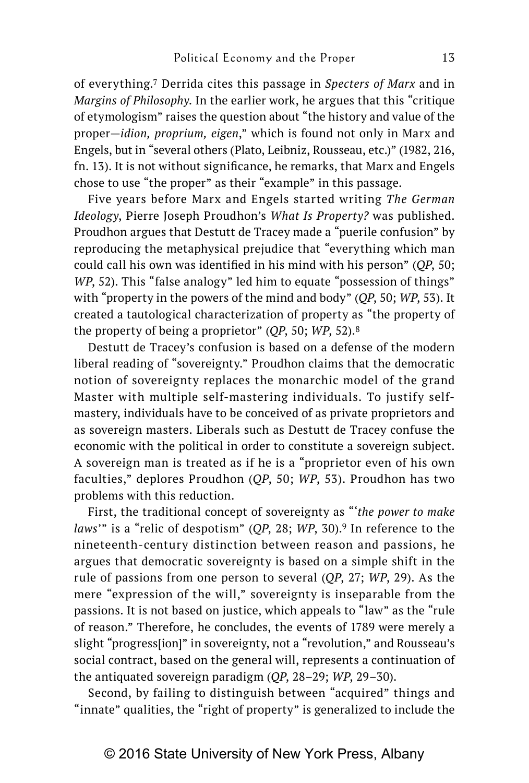of everything.7 Derrida cites this passage in *Specters of Marx* and in *Margins of Philosophy*. In the earlier work, he argues that this "critique of etymologism" raises the question about "the history and value of the proper—*idion, proprium, eigen*," which is found not only in Marx and Engels, but in "several others (Plato, Leibniz, Rousseau, etc.)" (1982, 216, fn. 13). It is not without significance, he remarks, that Marx and Engels chose to use "the proper" as their "example" in this passage.

Five years before Marx and Engels started writing *The German Ideology*, Pierre Joseph Proudhon's *What Is Property?* was published. Proudhon argues that Destutt de Tracey made a "puerile confusion" by reproducing the metaphysical prejudice that "everything which man could call his own was identified in his mind with his person" (QP, 50; *WP*, 52). This "false analogy" led him to equate "possession of things" with "property in the powers of the mind and body"  $(QP, 50; WP, 53)$ . It created a tautological characterization of property as "the property of the property of being a proprietor"  $OP$ , 50;  $WP$ , 52).<sup>8</sup>

Destutt de Tracey's confusion is based on a defense of the modern liberal reading of "sovereignty." Proudhon claims that the democratic notion of sovereignty replaces the monarchic model of the grand Master with multiple self-mastering individuals. To justify selfmastery, individuals have to be conceived of as private proprietors and as sovereign masters. Liberals such as Destutt de Tracey confuse the economic with the political in order to constitute a sovereign subject. A sovereign man is treated as if he is a "proprietor even of his own faculties," deplores Proudhon (QP, 50; WP, 53). Proudhon has two problems with this reduction.

First, the traditional concept of sovereignty as "'*the power to make laws*<sup>2</sup>" is a "relic of despotism" (QP, 28; WP, 30).<sup>9</sup> In reference to the nineteenth-century distinction between reason and passions, he argues that democratic sovereignty is based on a simple shift in the rule of passions from one person to several (OP, 27; WP, 29). As the mere "expression of the will," sovereignty is inseparable from the passions. It is not based on justice, which appeals to "law" as the "rule of reason." Therefore, he concludes, the events of 1789 were merely a slight "progress[ion]" in sovereignty, not a "revolution," and Rousseau's social contract, based on the general will, represents a continuation of the antiquated sovereign paradigm (QP, 28–29; WP, 29–30).

Second, by failing to distinguish between "acquired" things and "innate" qualities, the "right of property" is generalized to include the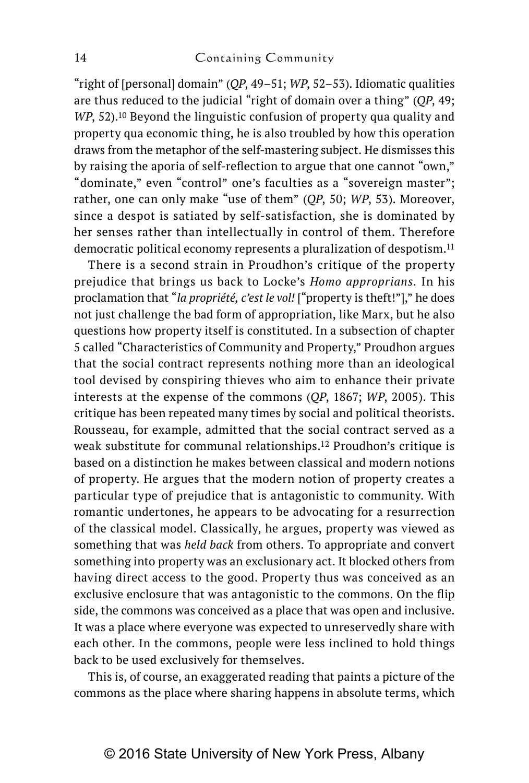"right of [personal] domain"  $(QP, 49-51; WP, 52-53)$ . Idiomatic qualities are thus reduced to the judicial "right of domain over a thing" (QP, 49; WP, 52).<sup>10</sup> Beyond the linguistic confusion of property qua quality and property qua economic thing, he is also troubled by how this operation draws from the metaphor of the self-mastering subject. He dismisses this by raising the aporia of self-reflection to argue that one cannot "own," "dominate," even "control" one's faculties as a "sovereign master"; rather, one can only make "use of them" (QP, 50; WP, 53). Moreover, since a despot is satiated by self-satisfaction, she is dominated by her senses rather than intellectually in control of them. Therefore democratic political economy represents a pluralization of despotism.11

There is a second strain in Proudhon's critique of the property prejudice that brings us back to Locke's *Homo approprians.* In his proclamation that "*la propriété, c'est le vol!* ["property is theft!"]," he does not just challenge the bad form of appropriation, like Marx, but he also questions how property itself is constituted. In a subsection of chapter 5 called "Characteristics of Community and Property," Proudhon argues that the social contract represents nothing more than an ideological tool devised by conspiring thieves who aim to enhance their private interests at the expense of the commons (QP, 1867; WP, 2005). This critique has been repeated many times by social and political theorists. Rousseau, for example, admitted that the social contract served as a weak substitute for communal relationships.12 Proudhon's critique is based on a distinction he makes between classical and modern notions of property. He argues that the modern notion of property creates a particular type of prejudice that is antagonistic to community. With romantic undertones, he appears to be advocating for a resurrection of the classical model. Classically, he argues, property was viewed as something that was *held back* from others. To appropriate and convert something into property was an exclusionary act. It blocked others from having direct access to the good. Property thus was conceived as an exclusive enclosure that was antagonistic to the commons. On the flip side, the commons was conceived as a place that was open and inclusive. It was a place where everyone was expected to unreservedly share with each other. In the commons, people were less inclined to hold things back to be used exclusively for themselves.

This is, of course, an exaggerated reading that paints a picture of the commons as the place where sharing happens in absolute terms, which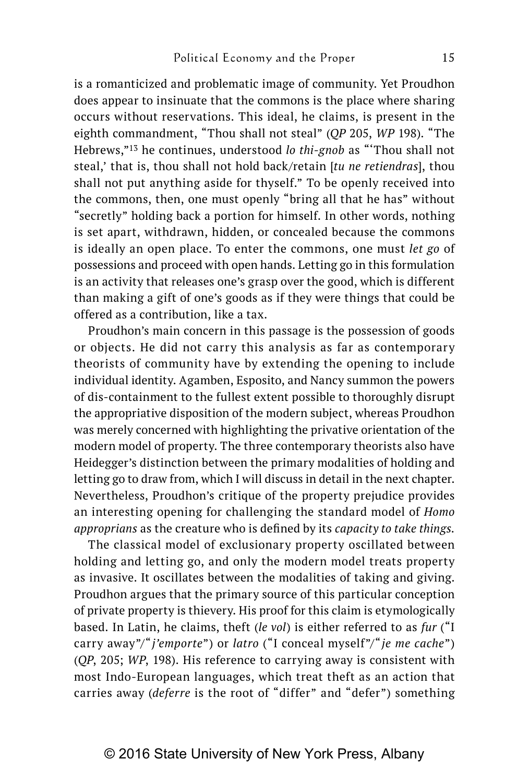is a romanticized and problematic image of community. Yet Proudhon does appear to insinuate that the commons is the place where sharing occurs without reservations. This ideal, he claims, is present in the eighth commandment, "Thou shall not steal" (OP 205, WP 198). "The Hebrews,"13 he continues, understood *lo thi-gnob* as "'Thou shall not steal,' that is, thou shall not hold back/retain [*tu ne retiendras*], thou shall not put anything aside for thyself." To be openly received into the commons, then, one must openly "bring all that he has" without "secretly" holding back a portion for himself. In other words, nothing is set apart, withdrawn, hidden, or concealed because the commons is ideally an open place. To enter the commons, one must *let go* of possessions and proceed with open hands. Letting go in this formulation is an activity that releases one's grasp over the good, which is different than making a gift of one's goods as if they were things that could be offered as a contribution, like a tax.

Proudhon's main concern in this passage is the possession of goods or objects. He did not carry this analysis as far as contemporary theorists of community have by extending the opening to include individual identity. Agamben, Esposito, and Nancy summon the powers of dis-containment to the fullest extent possible to thoroughly disrupt the appropriative disposition of the modern subject, whereas Proudhon was merely concerned with highlighting the privative orientation of the modern model of property. The three contemporary theorists also have Heidegger's distinction between the primary modalities of holding and letting go to draw from, which I will discuss in detail in the next chapter. Nevertheless, Proudhon's critique of the property prejudice provides an interesting opening for challenging the standard model of *Homo*  approprians as the creature who is defined by its capacity to take things.

The classical model of exclusionary property oscillated between holding and letting go, and only the modern model treats property as invasive. It oscillates between the modalities of taking and giving. Proudhon argues that the primary source of this particular conception of private property is thievery. His proof for this claim is etymologically based. In Latin, he claims, theft (le vol) is either referred to as fur ("I carry away"/"*j'emporte*") or latro ("I conceal myself"/" je me cache") *(QP*, 205; *WP*, 198). His reference to carrying away is consistent with most Indo-European languages, which treat theft as an action that carries away (deferre is the root of "differ" and "defer") something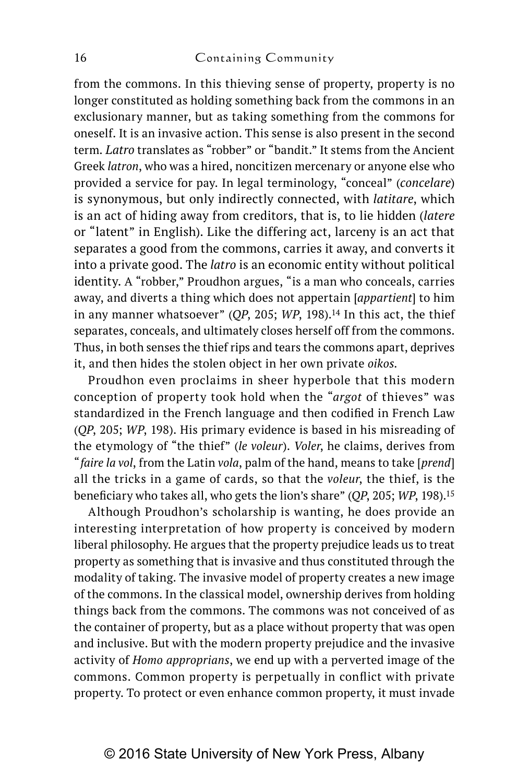from the commons. In this thieving sense of property, property is no longer constituted as holding something back from the commons in an exclusionary manner, but as taking something from the commons for oneself. It is an invasive action. This sense is also present in the second term*. Latro* translates as "robber" or "bandit." It stems from the Ancient Greek *latron*, who was a hired, noncitizen mercenary or anyone else who provided a service for pay. In legal terminology, "conceal" (concelare) is synonymous, but only indirectly connected, with *latitare*, which is an act of hiding away from creditors, that is, to lie hidden *(latere*) or "latent" in English). Like the differing act, larceny is an act that separates a good from the commons, carries it away, and converts it into a private good. The *latro* is an economic entity without political identity. A "robber," Proudhon argues, "is a man who conceals, carries away, and diverts a thing which does not appertain [*appartient*] to him in any manner whatsoever" (QP, 205;  $WP$ , 198).<sup>14</sup> In this act, the thief separates, conceals, and ultimately closes herself off from the commons. Thus, in both senses the thief rips and tears the commons apart, deprives it, and then hides the stolen object in her own private *oikos.* 

Proudhon even proclaims in sheer hyperbole that this modern conception of property took hold when the "*argot* of thieves" was standardized in the French language and then codified in French Law *(QP*, 205; *WP*, 198). His primary evidence is based in his misreading of the etymology of "the thief" (le voleur). Voler, he claims, derives from "*faire la vol*, from the Latin *vola*, palm of the hand, means to take [*prend*] all the tricks in a game of cards, so that the *voleur*, the thief, is the beneficiary who takes all, who gets the lion's share" (QP, 205; WP, 198).<sup>15</sup>

Although Proudhon's scholarship is wanting, he does provide an interesting interpretation of how property is conceived by modern liberal philosophy. He argues that the property prejudice leads us to treat property as something that is invasive and thus constituted through the modality of taking. The invasive model of property creates a new image of the commons. In the classical model, ownership derives from holding things back from the commons. The commons was not conceived of as the container of property, but as a place without property that was open and inclusive. But with the modern property prejudice and the invasive activity of *Homo approprians*, we end up with a perverted image of the commons. Common property is perpetually in conflict with private property. To protect or even enhance common property, it must invade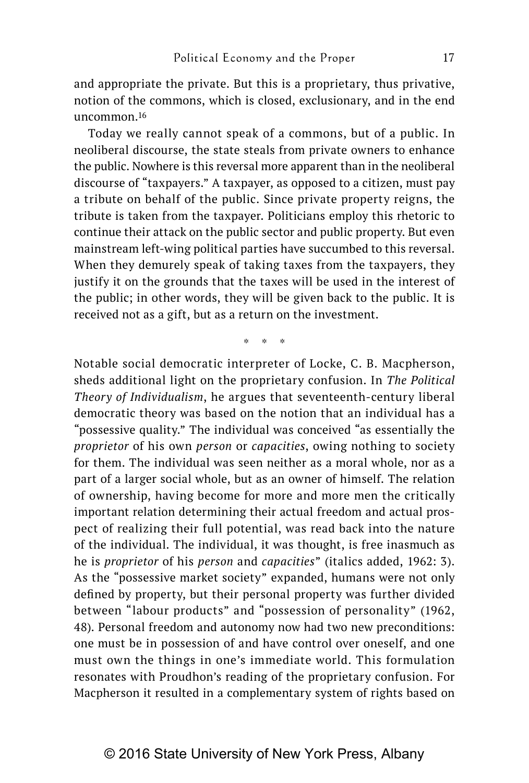and appropriate the private. But this is a proprietary, thus privative, notion of the commons, which is closed, exclusionary, and in the end  $11n$ common $16$ 

Today we really cannot speak of a commons, but of a public. In neoliberal discourse, the state steals from private owners to enhance the public. Nowhere is this reversal more apparent than in the neoliberal discourse of "taxpayers." A taxpayer, as opposed to a citizen, must pay a tribute on behalf of the public. Since private property reigns, the tribute is taken from the taxpayer. Politicians employ this rhetoric to continue their attack on the public sector and public property. But even mainstream left-wing political parties have succumbed to this reversal. When they demurely speak of taking taxes from the taxpayers, they justify it on the grounds that the taxes will be used in the interest of the public; in other words, they will be given back to the public. It is received not as a gift, but as a return on the investment.

\* \* \*

Notable social democratic interpreter of Locke, C. B. Macpherson, sheds additional light on the proprietary confusion. In *The Political Theory of Individualism*, he argues that seventeenth-century liberal democratic theory was based on the notion that an individual has a "possessive quality." The individual was conceived "as essentially the *proprietor* of his own *person* or *capacities*, owing nothing to society for them. The individual was seen neither as a moral whole, nor as a part of a larger social whole, but as an owner of himself. The relation of ownership, having become for more and more men the critically important relation determining their actual freedom and actual prospect of realizing their full potential, was read back into the nature of the individual. The individual, it was thought, is free inasmuch as he is *proprietor* of his *person* and *capacities*" (italics added, 1962: 3). As the "possessive market society" expanded, humans were not only defined by property, but their personal property was further divided between "labour products" and "possession of personality" (1962, 48). Personal freedom and autonomy now had two new preconditions: one must be in possession of and have control over oneself, and one must own the things in one's immediate world. This formulation resonates with Proudhon's reading of the proprietary confusion. For Macpherson it resulted in a complementary system of rights based on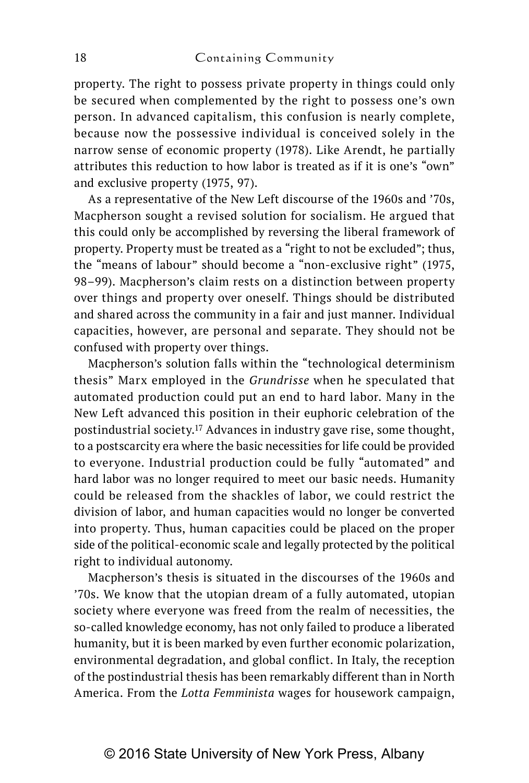property. The right to possess private property in things could only be secured when complemented by the right to possess one's own person. In advanced capitalism, this confusion is nearly complete, because now the possessive individual is conceived solely in the narrow sense of economic property (1978). Like Arendt, he partially attributes this reduction to how labor is treated as if it is one's "own" and exclusive property  $(1975, 97)$ .

As a representative of the New Left discourse of the 1960s and '70s, Macpherson sought a revised solution for socialism. He argued that this could only be accomplished by reversing the liberal framework of property. Property must be treated as a "right to not be excluded"; thus, the "means of labour" should become a "non-exclusive right" (1975, 98–99). Macpherson's claim rests on a distinction between property over things and property over oneself. Things should be distributed and shared across the community in a fair and just manner. Individual capacities, however, are personal and separate. They should not be confused with property over things.

Macpherson's solution falls within the "technological determinism thesis" Marx employed in the *Grundrisse* when he speculated that automated production could put an end to hard labor. Many in the New Left advanced this position in their euphoric celebration of the postindustrial society.17 Advances in industry gave rise, some thought, to a postscarcity era where the basic necessities for life could be provided to everyone. Industrial production could be fully "automated" and hard labor was no longer required to meet our basic needs. Humanity could be released from the shackles of labor, we could restrict the division of labor, and human capacities would no longer be converted into property. Thus, human capacities could be placed on the proper side of the political-economic scale and legally protected by the political right to individual autonomy.

Macpherson's thesis is situated in the discourses of the 1960s and '70s. We know that the utopian dream of a fully automated, utopian society where everyone was freed from the realm of necessities, the so-called knowledge economy, has not only failed to produce a liberated humanity, but it is been marked by even further economic polarization, environmental degradation, and global conflict. In Italy, the reception of the postindustrial thesis has been remarkably different than in North America. From the *Lotta Femminista* wages for housework campaign,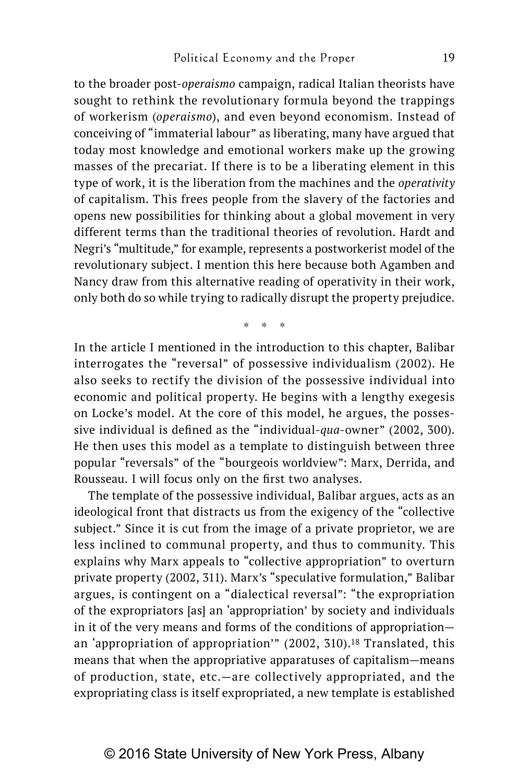to the broader post-*operaismo* campaign, radical Italian theorists have sought to rethink the revolutionary formula beyond the trappings of workerism (operaismo), and even beyond economism. Instead of conceiving of "immaterial labour" as liberating, many have argued that today most knowledge and emotional workers make up the growing masses of the precariat. If there is to be a liberating element in this type of work, it is the liberation from the machines and the *operativity*  of capitalism. This frees people from the slavery of the factories and opens new possibilities for thinking about a global movement in very different terms than the traditional theories of revolution. Hardt and Negri's "multitude," for example, represents a postworkerist model of the revolutionary subject. I mention this here because both Agamben and Nancy draw from this alternative reading of operativity in their work, only both do so while trying to radically disrupt the property prejudice.

\* \* \*

In the article I mentioned in the introduction to this chapter, Balibar interrogates the "reversal" of possessive individualism (2002). He also seeks to rectify the division of the possessive individual into economic and political property. He begins with a lengthy exegesis on Locke's model. At the core of this model, he argues, the possessive individual is defined as the "individual-qua-owner" (2002, 300). He then uses this model as a template to distinguish between three popular "reversals" of the "bourgeois worldview": Marx, Derrida, and Rousseau. I will focus only on the first two analyses.

The template of the possessive individual, Balibar argues, acts as an ideological front that distracts us from the exigency of the "collective subject." Since it is cut from the image of a private proprietor, we are less inclined to communal property, and thus to community. This explains why Marx appeals to "collective appropriation" to overturn private property (2002, 311). Marx's "speculative formulation," Balibar argues, is contingent on a "dialectical reversal": "the expropriation of the expropriators [as] an 'appropriation' by society and individuals in it of the very means and forms of the conditions of appropriation an 'appropriation of appropriation'"  $(2002, 310).$ <sup>18</sup> Translated, this means that when the appropriative apparatuses of capitalism—means of production, state, etc.—are collectively appropriated, and the expropriating class is itself expropriated, a new template is established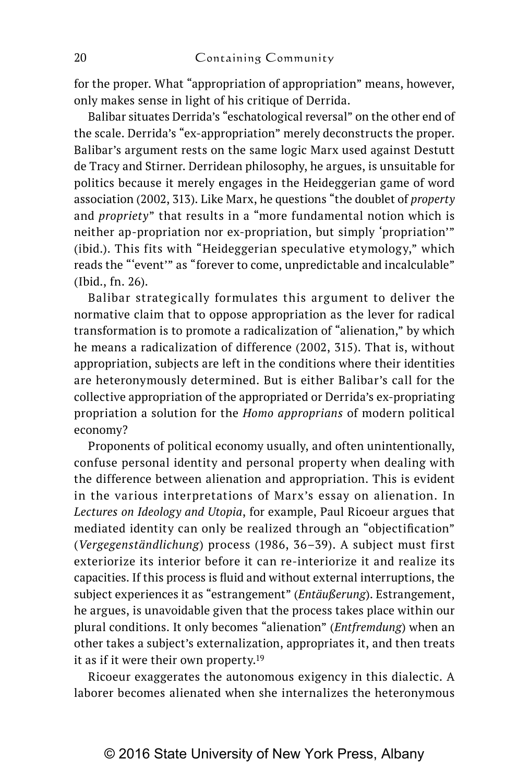for the proper. What "appropriation of appropriation" means, however, only makes sense in light of his critique of Derrida.

Balibar situates Derrida's "eschatological reversal" on the other end of the scale. Derrida's "ex-appropriation" merely deconstructs the proper. Balibar's argument rests on the same logic Marx used against Destutt de Tracy and Stirner. Derridean philosophy, he argues, is unsuitable for politics because it merely engages in the Heideggerian game of word association (2002, 313). Like Marx, he questions "the doublet of *property* and *propriety*" that results in a "more fundamental notion which is neither ap-propriation nor ex-propriation, but simply 'propriation'" (ibid.). This fits with "Heideggerian speculative etymology," which reads the "'event'" as "forever to come, unpredictable and incalculable" (Ibid., fn. 26).

Balibar strategically formulates this argument to deliver the normative claim that to oppose appropriation as the lever for radical transformation is to promote a radicalization of "alienation," by which he means a radicalization of difference (2002, 315). That is, without appropriation, subjects are left in the conditions where their identities are heteronymously determined. But is either Balibar's call for the collective appropriation of the appropriated or Derrida's ex-propriating propriation a solution for the *Homo approprians* of modern political economy?

Proponents of political economy usually, and often unintentionally, confuse personal identity and personal property when dealing with the difference between alienation and appropriation. This is evident in the various interpretations of Marx's essay on alienation. In *Lectures on Ideology and Utopia*, for example, Paul Ricoeur argues that mediated identity can only be realized through an "objectification" (Vergegenständlichung) process (1986, 36-39). A subject must first exteriorize its interior before it can re-interiorize it and realize its capacities. If this process is fluid and without external interruptions, the subject experiences it as "estrangement" (*Entäußerung*). Estrangement, he argues, is unavoidable given that the process takes place within our plural conditions. It only becomes "alienation" (*Entfremdung*) when an other takes a subject's externalization, appropriates it, and then treats it as if it were their own property.19

Ricoeur exaggerates the autonomous exigency in this dialectic. A laborer becomes alienated when she internalizes the heteronymous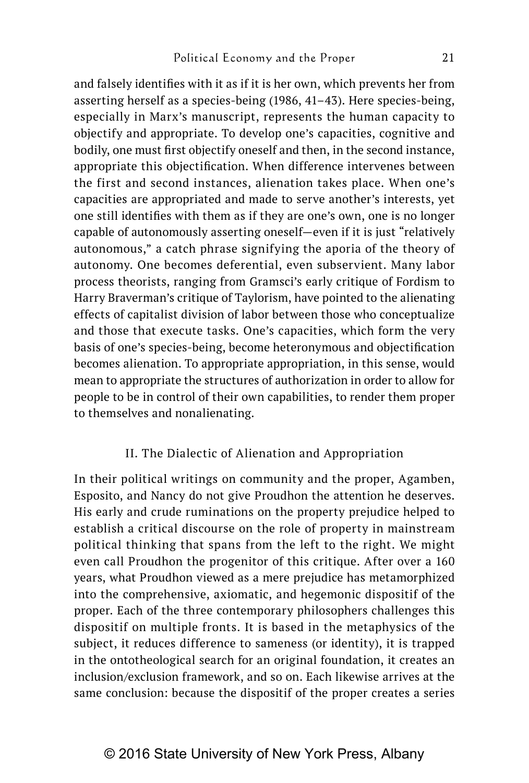and falsely identifies with it as if it is her own, which prevents her from asserting herself as a species-being  $(1986, 41-43)$ . Here species-being, especially in Marx's manuscript, represents the human capacity to objectify and appropriate. To develop one's capacities, cognitive and bodily, one must first objectify oneself and then, in the second instance, appropriate this objectification. When difference intervenes between the first and second instances, alienation takes place. When one's capacities are appropriated and made to serve another's interests, yet one still identifies with them as if they are one's own, one is no longer capable of autonomously asserting oneself—even if it is just "relatively autonomous," a catch phrase signifying the aporia of the theory of autonomy. One becomes deferential, even subservient. Many labor process theorists, ranging from Gramsci's early critique of Fordism to Harry Braverman's critique of Taylorism, have pointed to the alienating effects of capitalist division of labor between those who conceptualize and those that execute tasks. One's capacities, which form the very basis of one's species-being, become heteronymous and objectification becomes alienation. To appropriate appropriation, in this sense, would mean to appropriate the structures of authorization in order to allow for people to be in control of their own capabilities, to render them proper to themselves and nonalienating.

## II. The Dialectic of Alienation and Appropriation

In their political writings on community and the proper, Agamben, Esposito, and Nancy do not give Proudhon the attention he deserves. His early and crude ruminations on the property prejudice helped to establish a critical discourse on the role of property in mainstream political thinking that spans from the left to the right. We might even call Proudhon the progenitor of this critique. After over a 160 years, what Proudhon viewed as a mere prejudice has metamorphized into the comprehensive, axiomatic, and hegemonic dispositif of the proper. Each of the three contemporary philosophers challenges this dispositif on multiple fronts. It is based in the metaphysics of the subject, it reduces difference to sameness (or identity), it is trapped in the ontotheological search for an original foundation, it creates an inclusion/exclusion framework, and so on. Each likewise arrives at the same conclusion: because the dispositif of the proper creates a series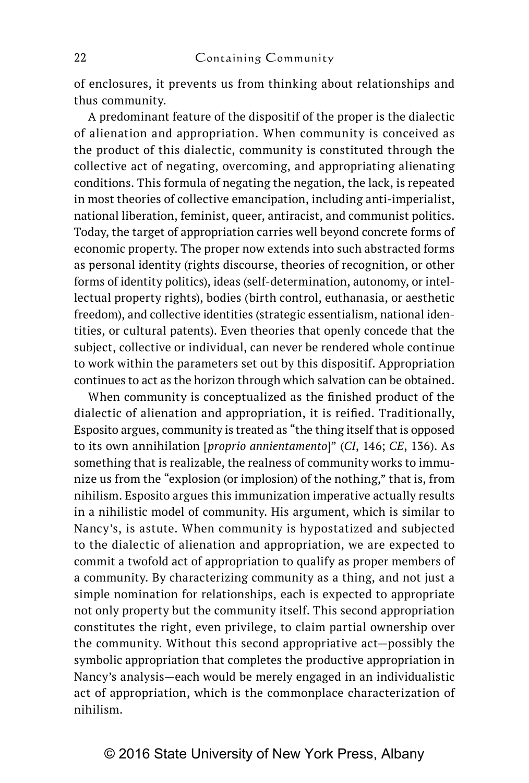of enclosures, it prevents us from thinking about relationships and thus community.

A predominant feature of the dispositif of the proper is the dialectic of alienation and appropriation. When community is conceived as the product of this dialectic, community is constituted through the collective act of negating, overcoming, and appropriating alienating conditions. This formula of negating the negation, the lack, is repeated in most theories of collective emancipation, including anti-imperialist, national liberation, feminist, queer, antiracist, and communist politics. Today, the target of appropriation carries well beyond concrete forms of economic property. The proper now extends into such abstracted forms as personal identity (rights discourse, theories of recognition, or other forms of identity politics), ideas (self-determination, autonomy, or intellectual property rights), bodies (birth control, euthanasia, or aesthetic freedom), and collective identities (strategic essentialism, national identities, or cultural patents). Even theories that openly concede that the subject, collective or individual, can never be rendered whole continue to work within the parameters set out by this dispositif. Appropriation continues to act as the horizon through which salvation can be obtained.

When community is conceptualized as the finished product of the dialectic of alienation and appropriation, it is reified. Traditionally, Esposito argues, community is treated as "the thing itself that is opposed to its own annihilation [proprio annientamento]" (CI, 146; CE, 136). As something that is realizable, the realness of community works to immunize us from the "explosion (or implosion) of the nothing," that is, from nihilism. Esposito argues this immunization imperative actually results in a nihilistic model of community. His argument, which is similar to Nancy's, is astute. When community is hypostatized and subjected to the dialectic of alienation and appropriation, we are expected to commit a twofold act of appropriation to qualify as proper members of a community. By characterizing community as a thing, and not just a simple nomination for relationships, each is expected to appropriate not only property but the community itself. This second appropriation constitutes the right, even privilege, to claim partial ownership over the community. Without this second appropriative act—possibly the symbolic appropriation that completes the productive appropriation in Nancy's analysis—each would be merely engaged in an individualistic act of appropriation, which is the commonplace characterization of nihilism.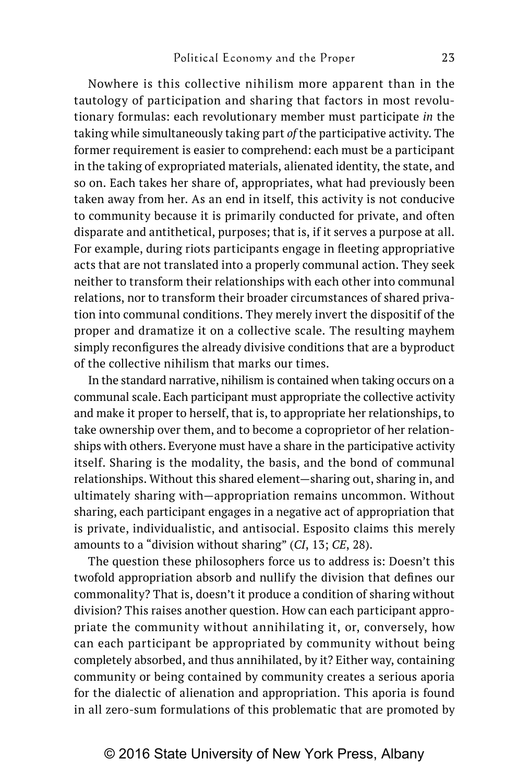Nowhere is this collective nihilism more apparent than in the tautology of participation and sharing that factors in most revolutionary formulas: each revolutionary member must participate *in* the taking while simultaneously taking part *of* the participative activity. The former requirement is easier to comprehend: each must be a participant in the taking of expropriated materials, alienated identity, the state, and so on. Each takes her share of, appropriates, what had previously been taken away from her. As an end in itself, this activity is not conducive to community because it is primarily conducted for private, and often disparate and antithetical, purposes; that is, if it serves a purpose at all. For example, during riots participants engage in fleeting appropriative acts that are not translated into a properly communal action. They seek neither to transform their relationships with each other into communal relations, nor to transform their broader circumstances of shared privation into communal conditions. They merely invert the dispositif of the proper and dramatize it on a collective scale. The resulting mayhem simply reconfigures the already divisive conditions that are a byproduct of the collective nihilism that marks our times.

In the standard narrative, nihilism is contained when taking occurs on a communal scale. Each participant must appropriate the collective activity and make it proper to herself, that is, to appropriate her relationships, to take ownership over them, and to become a coproprietor of her relationships with others. Everyone must have a share in the participative activity itself. Sharing is the modality, the basis, and the bond of communal relationships. Without this shared element—sharing out, sharing in, and ultimately sharing with—appropriation remains uncommon. Without sharing, each participant engages in a negative act of appropriation that is private, individualistic, and antisocial. Esposito claims this merely amounts to a "division without sharing" (CI, 13; CE, 28).

The question these philosophers force us to address is: Doesn't this twofold appropriation absorb and nullify the division that defines our commonality? That is, doesn't it produce a condition of sharing without division? This raises another question. How can each participant appropriate the community without annihilating it, or, conversely, how can each participant be appropriated by community without being completely absorbed, and thus annihilated, by it? Either way, containing community or being contained by community creates a serious aporia for the dialectic of alienation and appropriation. This aporia is found in all zero-sum formulations of this problematic that are promoted by